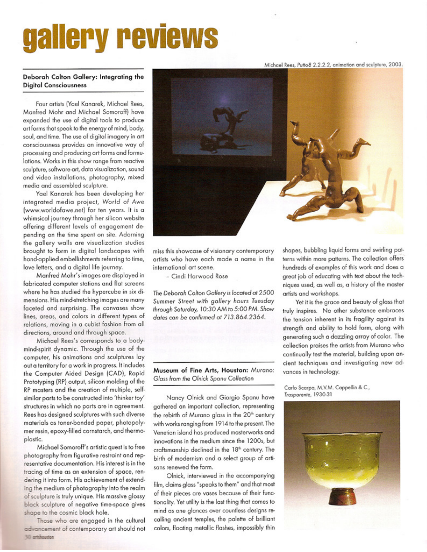## gallery reviews

## Deborah Colton Gallery: Integrating the **Digital Consciousness**

Four artists (Yael Kanarek, Michael Rees, Manfred Mohr and Michael Somoroff) have expanded the use of digital tools to produce art forms that speak to the energy of mind, body, soul, and time. The use of digital imagery in art consciousness provides an innovative way of processing and producing art forms and formulations. Works in this show range from reactive sculpture, software art, data visualization, sound and video installations, photography, mixed media and assembled sculpture.

Yael Kanarek has been developing her integrated media project, World of Awe (www.worldofawe.net) for ten years. It is a whimsical journey through her silicon website offering different levels of engagement depending on the time spent on site. Adorning the gallery walls are visualization studies brought to form in digital landscapes with hand-applied embellishments referring to time, love letters, and a digital life journey.

Manfred Mohr's images are displayed in fabricated computer stations and flat screens where he has studied the hypercube in six dimensions. His mind-stretching images are many faceted and surprising. The canvases show lines, areas, and colors in different types of relations, moving in a cubist fashion from all directions, around and through space.

Michael Rees's corresponds to a bodymind-spirit dynamic. Through the use of the computer, his animations and sculptures lay out a territory for a work in progress. It includes the Computer Aided Design (CAD), Rapid Prototyping (RP) output, silicon molding of the RP masters and the creation of multiple, selfsimilar parts to be constructed into 'thinker toy' structures in which no parts are in agreement. Rees has designed sculptures with such diverse materials as toner-bonded paper, photopolymer resin, epoxy-filled cornstarch, and thermoplastic.

Michael Somoroff's artistic quest is to free photography from figurative restraint and representative documentation. His interest is in the tracing of time as an extension of space, rendering it into form. His achievement of extending the medium of photography into the realm of sculpture is truly unique. His massive glossy black sculpture of negative time-space gives shape to the cosmic black hole.

Those who are engaged in the cultural advancement of contemporary art should not 30 artshouston

miss this showcase of visionary contemporary

artists who have each made a name in the international art scene.

- Cindi Harwood Rose

The Deborah Colton Gallery is located at 2500 Summer Street with gallery hours Tuesday through Saturday, 10:30 AM to 5:00 PM. Show dates can be confirmed at 713.864.2364.

Museum of Fine Arts, Houston: Murano: Glass from the Olnick Spanu Collection

Nancy Olnick and Giorgio Spanu have gathered an important collection, representing the rebirth of Murano glass in the 20<sup>th</sup> century with works ranging from 1914 to the present. The Venetian island has produced masterworks and innovations in the medium since the 1200s, but craftsmanship declined in the 18<sup>th</sup> century. The birth of modernism and a select group of artisans renewed the form.

Olnick, interviewed in the accompanying film, claims glass "speaks to them" and that most of their pieces are vases because of their functionality. Yet utility is the last thing that comes to mind as one glances over countless designs recalling ancient temples, the palette of brilliant colors, floating metallic flashes, impossibly thin shapes, bubbling liquid forms and swirling patterns within more patterns. The collection offers hundreds of examples of this work and does a great job of educating with text about the techniques used, as well as, a history of the master artists and workshops.

Yet it is the grace and beauty of glass that truly inspires. No other substance embraces the tension inherent in its fragility against its strength and ability to hold form, along with generating such a dazzling array of color. The collection praises the artists from Murano who continually test the material, building upon ancient techniques and investigating new advances in technology.

Carlo Scarpa, M.V.M. Cappellin & C., Trasparente, 1930-31



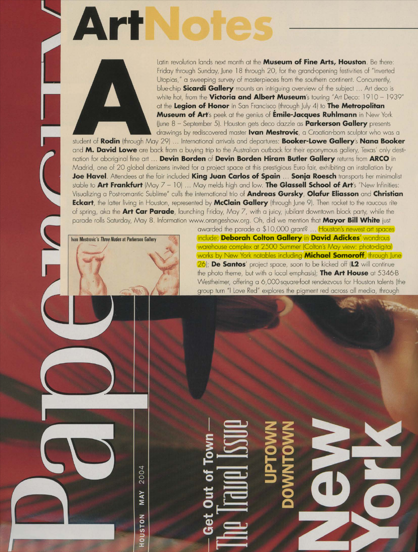Latin revolution lands next month at the **Museum of Fine Arts, Houston.** Be there: Friday through Sunday, June 18 through 20, for the grand-opening festivities of "Inverted Utopias," a sweeping survey of masterpieces from the southern continent. Concurrently, blue-chip **Sicardi Gallery** mounts an intriguing overview of the subject ... Art deco is white hot, from the **Victoria and Albert Museum**'s touring "Art Deco: 1910 - 1939" at the **Legion of Honor** in San Francisco (through july 4) to **The Metropolitan Museum of Art's** peek at the genius of **Emile-Jacques Ruhlmann** in New York Uune 8- September 5). Houston gets deco dazzle as **Parkerson Gallery** presents drawings by rediscovered master **Ivan Mestrovic,** a Croatian-born sculptor who was a

student of **Rodin** (through May 29) ... International arrivals and departures: **Booker-Lowe Gallery's Nana Booker**  and **M. David Lowe** are bock from a buying trip to the Australian outbock for their eponymous gallery, Texas' only destination for aboriginal fine art ... **Devin Borden of Devin Borden Hiram Butler Gallery** returns from **ARCO** in Madrid, one of 20 globol denizens invited for a project space at this prestigious Euro fair, exhibiting an installation by **Joe Havel.** Attendees at the fair included **King Juan Carlos of Spain** ... **Sonja Roesch** transports her minimalist stable to **Art Frankfurt** (May 7 - 1 0) ... May melds high and low. **The Glassell School of Art's** "New Infinities: Visualizing a Post-romantic Sublime" culls the international trio of **Andreas Gursky, Olafur Eliasson** and **Christian Eckart,** the Iotter living in Houston, represented by **McClain Gallery** (through june 9). Then rocket to the raucous rite of spring, aka the **Art Car Parade,** launching Friday, May 7, with a juicy, jubilant downtown block party, while the parade rolls Saturday, May 8. Information www.orangeshow.org. Oh, did we mention that **Mayor Bill White** just



2004

MAY

**HOUSTON** 

**Art** 

awarded the parade a \$10,000 grant? ... Houston's newest art spaces Ivan Mestrovic's Three Nudes at Parkerson Gallery **include:** Deborah Colton Gallery in David Adickes' **Wondrous** warehouse complex at 2500 Summer (Colton's May view: photo-digital works by New York notables including **Michael Somoroff**, through June 26); **De Santos'** project space, soon to be kicked off **(L2** will continue the photo theme, but with a local emphasis); **The Art House** at 5346-B Westheimer, offering a 6,000-square-foot rendezvous for Houston talents (the group turn "I Love Red" explores the pigment red across all media, through

## Get Ou